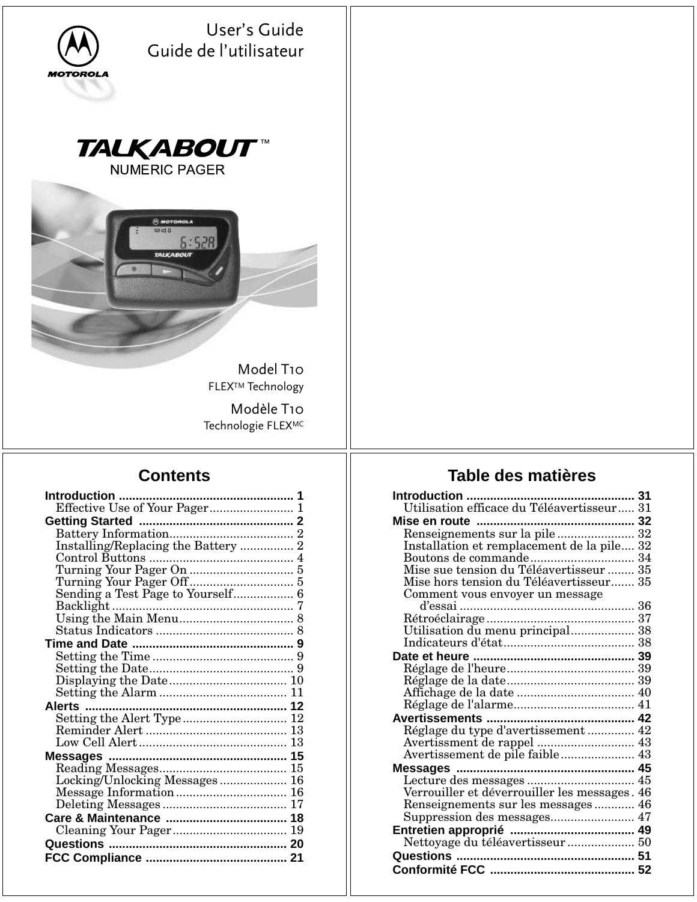| User's Guide<br>Guide de l'utilisateur<br><b>MOTOROLA</b> |                                                                  |
|-----------------------------------------------------------|------------------------------------------------------------------|
| <b>TALKABOUT™</b><br><b>NUMERIC PAGER</b>                 |                                                                  |
| <b>B</b> MOTOROLA<br>⊠⊒0<br>6:52R<br><b>TALKABOUT</b>     |                                                                  |
| Model T10<br><b>FLEX™ Technology</b>                      |                                                                  |
| Modèle T10<br>Technologie FLEXMC                          |                                                                  |
| <b>Contents</b>                                           | Table des matières                                               |
|                                                           |                                                                  |
|                                                           |                                                                  |
|                                                           | Utilisation efficace du Téléavertisseur 31                       |
|                                                           |                                                                  |
|                                                           |                                                                  |
|                                                           | Installation et remplacement de la pile 32                       |
|                                                           | Boutons de commande 34<br>Mise sue tension du Téléavertisseur 35 |
|                                                           | Mise hors tension du Téléavertisseur 35                          |
| Sending a Test Page to Yourself 6                         | Comment vous envoyer un message                                  |
|                                                           |                                                                  |
|                                                           | Utilisation du menu principal 38                                 |
|                                                           |                                                                  |
|                                                           |                                                                  |
|                                                           |                                                                  |
|                                                           |                                                                  |
|                                                           |                                                                  |
|                                                           |                                                                  |
|                                                           | Réglage du type d'avertissement  42                              |
|                                                           |                                                                  |
|                                                           |                                                                  |
| Locking/Unlocking Messages 16                             | Verrouiller et déverrouiller les messages. 46                    |

Renseignements sur les messages ............ 46 Suppression des messages......................... 47 **Entretien approprié ..................................... 49** Nettoyage du téléavertisseur .................... 50 **Questions ..................................................... 51 Conformité FCC ........................................... 52**

Deleting Messages ..................................... 17 **Care & Maintenance .................................... 18** Cleaning Your Pager.................................. 19 **Questions ..................................................... 20 FCC Compliance .......................................... 21**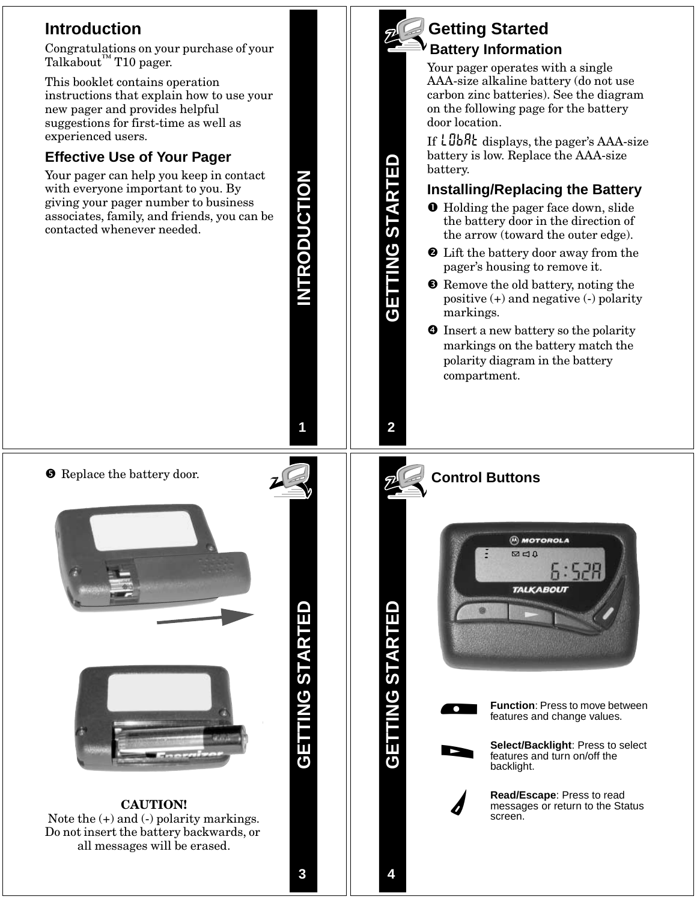### **Introduction**

Congratulations on your purchase of your Talkabout<sup>™</sup> T10 pager.

This booklet contains operation instructions that explain how to use your new pager and provides helpful suggestions for first-time as well as experienced users.

### **Effective Use of Your Pager**

Your pager can help you keep in contact with everyone important to you. By giving your pager number to business associates, family, and friends, you can be contacted whenever needed.



**GETTING STARTED**

**NG START** 

**INTRODUCTION**

**INTRODUCTION** 

### **Getting Started Battery Information**

Your pager operates with a single AAA-size alkaline battery (do not use carbon zinc batteries). See the diagram on the following page for the battery door location.

If  $LDBRt$  displays, the pager's AAA-size battery is low. Replace the AAA-size battery.

#### **Installing/Replacing the Battery**

- **O** Holding the pager face down, slide the battery door in the direction of the arrow (toward the outer edge).
- Lift the battery door away from the pager's housing to remove it.
- **8** Remove the old battery, noting the positive (+) and negative (-) polarity markings.
- **O** Insert a new battery so the polarity markings on the battery match the polarity diagram in the battery compartment.

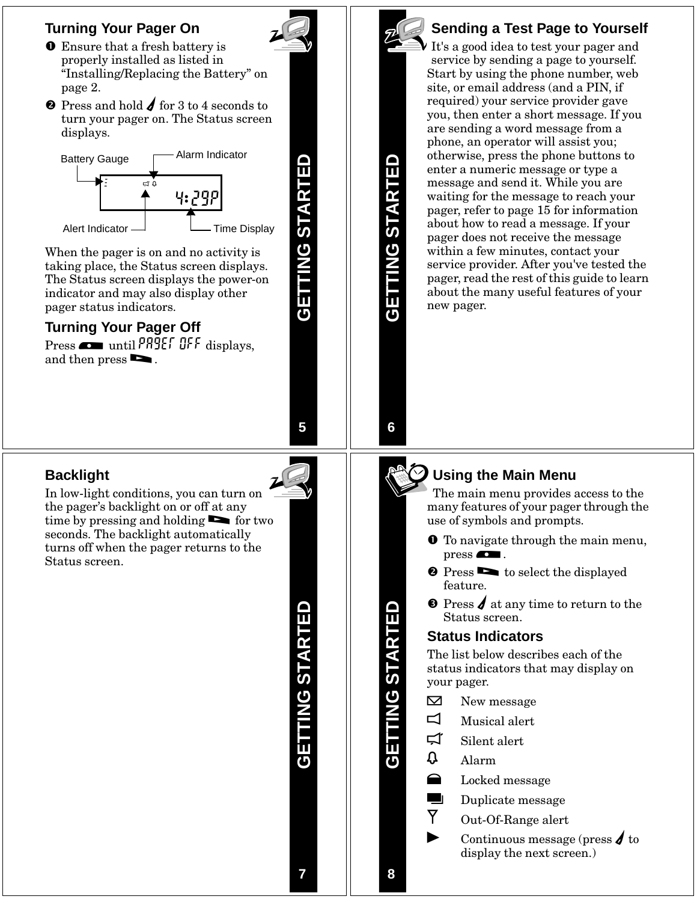#### **Turning Your Pager On**

- **O** Ensure that a fresh battery is properly installed as listed in "Installing/Replacing the Battery" on page 2.
- **Q** Press and hold  $\boldsymbol{\angle}$  for 3 to 4 seconds to turn your pager on. The Status screen displays.



When the pager is on and no activity is taking place, the Status screen displays. The Status screen displays the power-on indicator and may also display other pager status indicators.

### **Turning Your Pager Off**

Press  $\bullet$  until PAGET OFF displays, and then press  $\blacksquare$ .

GETTING STARTED **GETTING STARTED**

**5**

### **Sending a Test Page to Yourself**

It's a good idea to test your pager and service by sending a page to yourself. Start by using the phone number, web site, or email address (and a PIN, if required) your service provider gave you, then enter a short message. If you are sending a word message from a phone, an operator will assist you; otherwise, press the phone buttons to enter a numeric message or type a message and send it. While you are waiting for the message to reach your pager, refer to page 15 for information about how to read a message. If your pager does not receive the message within a few minutes, contact your service provider. After you've tested the pager, read the rest of this guide to learn about the many useful features of your new pager.

### **Backlight**

In low-light conditions, you can turn on the pager's backlight on or off at any time by pressing and holding **the fortwo** seconds. The backlight automatically turns off when the pager returns to the Status screen.

> **GETTING STARTED GETTING STARTED**



**GETTING STARTED**

**6**

#### **Using the Main Menu**

The main menu provides access to the many features of your pager through the use of symbols and prompts.

- **O** To navigate through the main menu,  $pres \ \ \overline{\bullet}$ .
- **Q** Press **b** to select the displayed feature.
- $\Theta$  Press  $\boldsymbol{\ell}$  at any time to return to the Status screen.

#### **Status Indicators**

The list below describes each of the status indicators that may display on your pager.<br> $\boxtimes$  New message

- 
- $\Box$  Musical alert  $\Xi$  Musical alert<br> $\Xi$  Silent alert
- $\Xi$  Silent alert<br> $\Omega$  Alarm
- 
- $\Omega$  Alarm<br>
Locked message
- $\Box$  Duplicate message
- $\overline{Y}$  Out-Of-Range alert
- $\texttt{Out-Of-Range}\text{ alert} \ \texttt{Continuous message} \text{ (press } \textbf{\textit{J} to})$ display the next screen.)

**GETTING STARTED**

**NG STARTEL**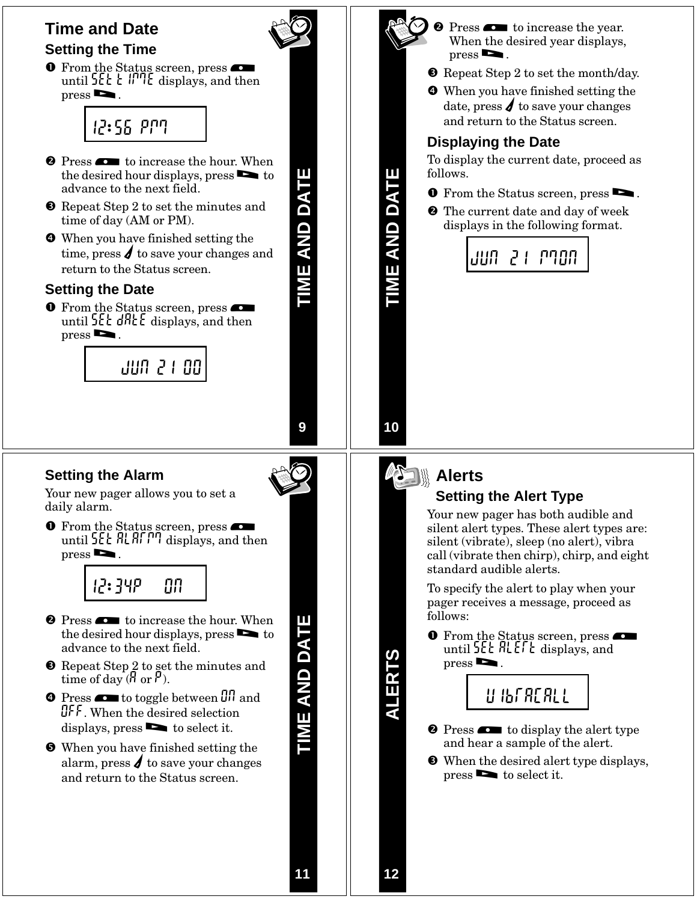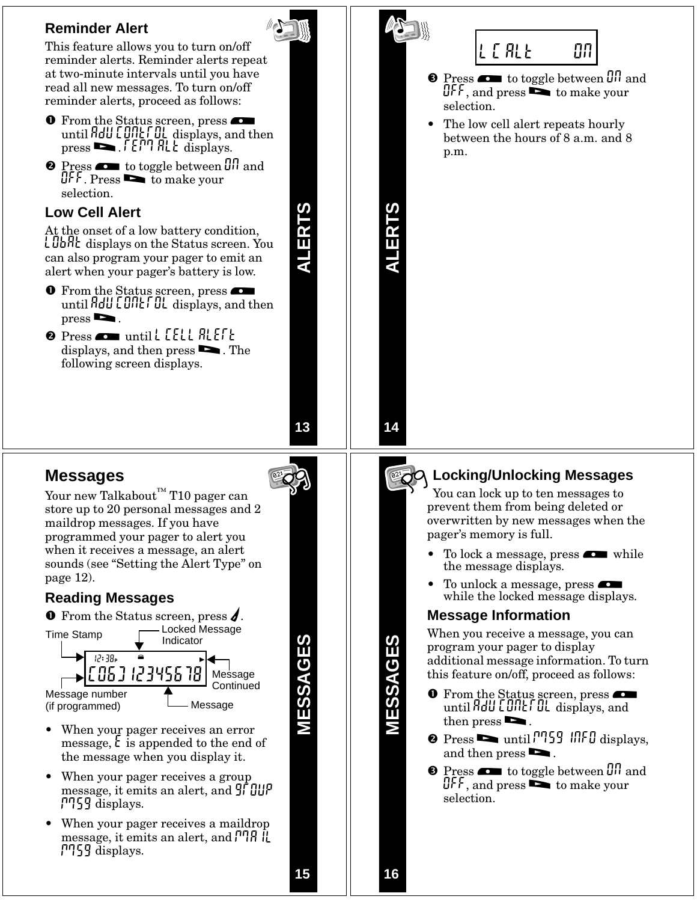

**16**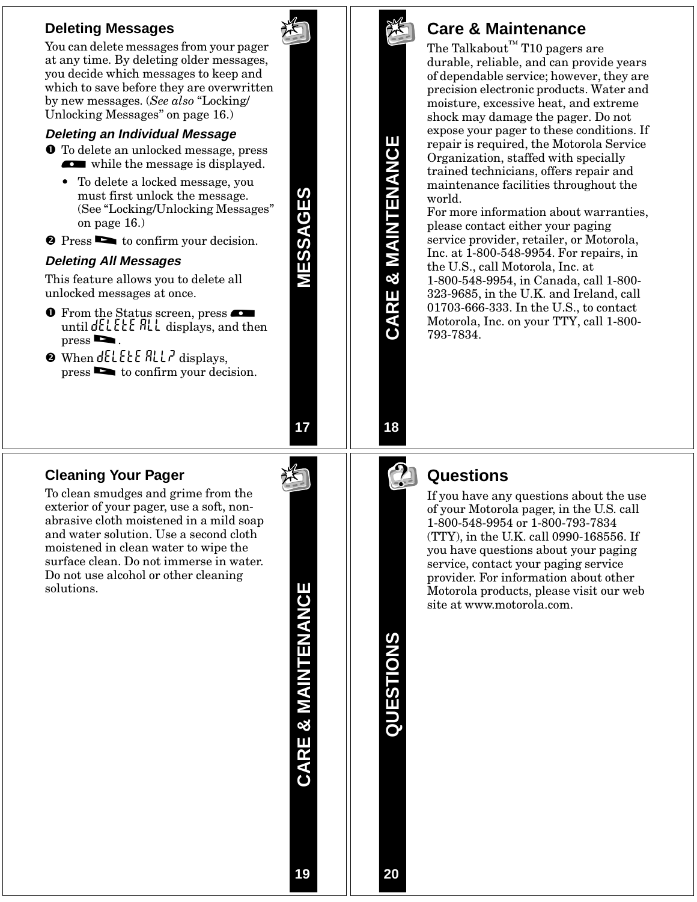#### **Deleting Messages**

You can delete messages from your pager at any time. By deleting older messages, you decide which messages to keep and which to save before they are overwritten by new messages. (*See also* "Locking/ Unlocking Messages" on page 16.)

#### **Deleting an Individual Message**

- **O** To delete an unlocked message, press while the message is displayed.
	- To delete a locked message, you must first unlock the message. (See "Locking/Unlocking Messages" on page 16.)
- **2** Press **b** to confirm your decision.

#### **Deleting All Messages**

This feature allows you to delete all unlocked messages at once.

- **O** From the Status screen, press until  $dELEE$  ALL displays, and then  $pres \nightharpoonup$ .
- $\bullet$  When  $dELEE$   $RLL$ <sup> $\prime$ </sup> displays, press > to confirm your decision.

**17**

**MESSAGES**

MESSAGES

#### **Cleaning Your Pager**

To clean smudges and grime from the exterior of your pager, use a soft, nonabrasive cloth moistened in a mild soap and water solution. Use a second cloth moistened in clean water to wipe the surface clean. Do not immerse in water. Do not use alcohol or other cleaning solutions.

CARE & MAINTENANCE **CARE & MAINTENANCE**



**CARE & MAINTENANCE**

CARE & MAINTENANCE

### **Care & Maintenance**

The Talkabout $^{\text{TM}}$  T10 pagers are durable, reliable, and can provide years of dependable service; however, they are precision electronic products. Water and moisture, excessive heat, and extreme shock may damage the pager. Do not expose your pager to these conditions. If repair is required, the Motorola Service Organization, staffed with specially trained technicians, offers repair and maintenance facilities throughout the world.

For more information about warranties, please contact either your paging service provider, retailer, or Motorola, Inc. at 1-800-548-9954. For repairs, in the U.S., call Motorola, Inc. at 1-800-548-9954, in Canada, call 1-800- 323-9685, in the U.K. and Ireland, call 01703-666-333. In the U.S., to contact Motorola, Inc. on your TTY, call 1-800- 793-7834.

# **18**



### **Questions**

If you have any questions about the use of your Motorola pager, in the U.S. call 1-800-548-9954 or 1-800-793-7834 (TTY), in the U.K. call 0990-168556. If you have questions about your paging service, contact your paging service provider. For information about other Motorola products, please visit our web site at www.motorola.com.

**QUESTIONS**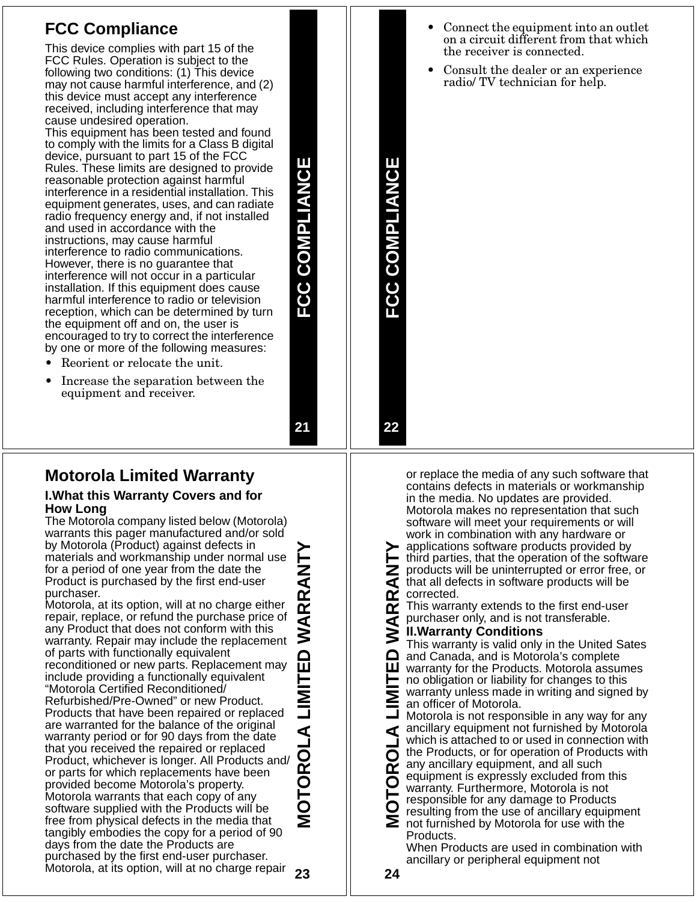### **FCC Compliance**

This device complies with part 15 of the FCC Rules. Operation is subject to the following two conditions: (1) This device may not cause harmful interference, and (2) this device must accept any interference received, including interference that may cause undesired operation.

This equipment has been tested and found to comply with the limits for a Class B digital device, pursuant to part 15 of the FCC Rules. These limits are designed to provide reasonable protection against harmful interference in a residential installation. This equipment generates, uses, and can radiate radio frequency energy and, if not installed and used in accordance with the instructions, may cause harmful interference to radio communications. However, there is no guarantee that interference will not occur in a particular installation. If this equipment does cause harmful interference to radio or television reception, which can be determined by turn the equipment off and on, the user is encouraged to try to correct the interference by one or more of the following measures:

- Reorient or relocate the unit.
- Increase the separation between the equipment and receiver.

**Motorola Limited Warranty**

#### **I.What this Warranty Covers and for How Long**

The Motorola company listed below (Motorola) warrants this pager manufactured and/or sold by Motorola (Product) against defects in materials and workmanship under normal use for a period of one year from the date the Product is purchased by the first end-user purchaser.

**23** Motorola, at its option, will at no charge either repair, replace, or refund the purchase price of any Product that does not conform with this warranty. Repair may include the replacement of parts with functionally equivalent reconditioned or new parts. Replacement may include providing a functionally equivalent "Motorola Certified Reconditioned/ Refurbished/Pre-Owned" or new Product. Products that have been repaired or replaced are warranted for the balance of the original warranty period or for 90 days from the date that you received the repaired or replaced Product, whichever is longer. All Products and/ or parts for which replacements have been provided become Motorola's property. Motorola warrants that each copy of any software supplied with the Products will be free from physical defects in the media that tangibly embodies the copy for a period of 90 days from the date the Products are purchased by the first end-user purchaser. Motorola, at its option, will at no charge repair

**MOTOROLA LIMITED WARRANTY RRAN** ๔ MOTOROLA LIMIT

**FCC COMPLIANCE**

FCC COMPLIANCE

**FCC COMPLIANCE**

**FCC COMPLIANCE** 

**21**

#### • Connect the equipment into an outlet on a circuit different from that which the receiver is connected.

• Consult the dealer or an experience radio/ TV technician for help.

**22** or replace the media of any such software that contains defects in materials or workmanship in the media. No updates are provided. Motorola makes no representation that such software will meet your requirements or will work in combination with any hardware or

applications software products provided by third parties, that the operation of the software こ<br>く products will be uninterrupted or error free, or that all defects in software products will be œ corrected.

œ This warranty extends to the first end-user purchaser only, and is not transferable.

#### ⋖ **II.Warranty Conditions**

This warranty is valid only in the United Sates ≏ and Canada, and is Motorola's complete ш warranty for the Products. Motorola assumes no obligation or liability for changes to this warranty unless made in writing and signed by an officer of Motorola.

**MOTOROLA LIMITED WARRANTY** Motorola is not responsible in any way for any ancillary equipment not furnished by Motorola ⋖ which is attached to or used in connection with the Products, or for operation of Products with O any ancillary equipment, and all such œ equipment is expressly excluded from this O warranty. Furthermore, Motorola is not responsible for any damage to Products resulting from the use of ancillary equipment not furnished by Motorola for use with the

Products. When Products are used in combination with

ancillary or peripheral equipment not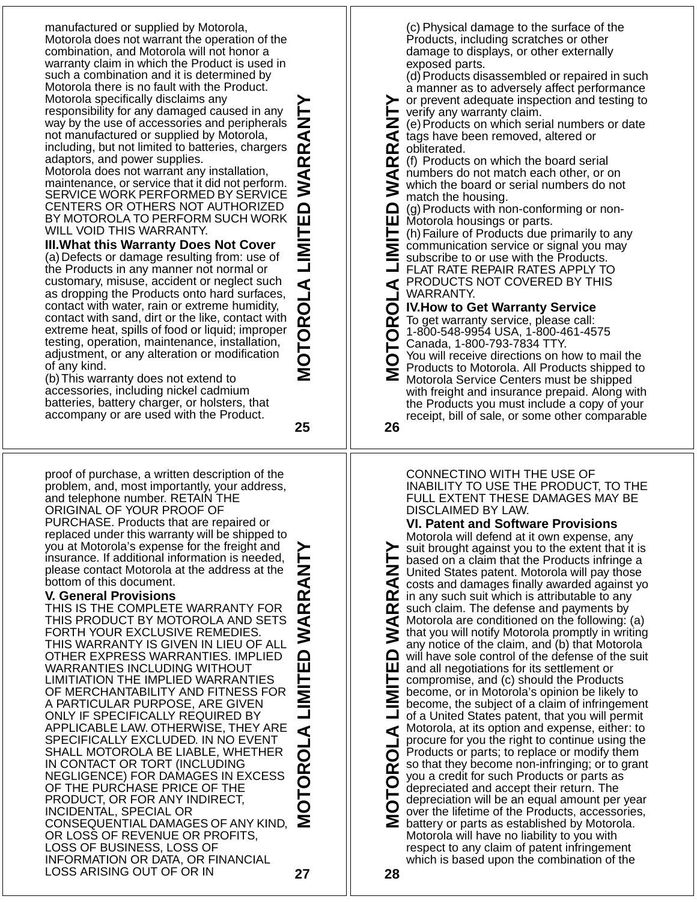manufactured or supplied by Motorola, Motorola does not warrant the operation of the combination, and Motorola will not honor a warranty claim in which the Product is used in such a combination and it is determined by Motorola there is no fault with the Product. Motorola specifically disclaims any responsibility for any damaged caused in any way by the use of accessories and peripherals not manufactured or supplied by Motorola, including, but not limited to batteries, chargers adaptors, and power supplies.

Motorola does not warrant any installation, maintenance, or service that it did not perform. SERVICE WORK PERFORMED BY SERVICE CENTERS OR OTHERS NOT AUTHORIZED BY MOTOROLA TO PERFORM SUCH WORK WILL VOID THIS WARRANTY.

**III.What this Warranty Does Not Cover** (a)Defects or damage resulting from: use of the Products in any manner not normal or customary, misuse, accident or neglect such as dropping the Products onto hard surfaces, contact with water, rain or extreme humidity, contact with sand, dirt or the like, contact with extreme heat, spills of food or liquid; improper testing, operation, maintenance, installation, adjustment, or any alteration or modification of any kind.

(b)This warranty does not extend to accessories, including nickel cadmium batteries, battery charger, or holsters, that accompany or are used with the Product.

**25**

**MOTOROLA LIMITED WARRANTY**

MOTOROLA

冚

≃

proof of purchase, a written description of the problem, and, most importantly, your address, and telephone number. RETAIN THE ORIGINAL OF YOUR PROOF OF PURCHASE. Products that are repaired or replaced under this warranty will be shipped to you at Motorola's expense for the freight and insurance. If additional information is needed, RRAN please contact Motorola at the address at the bottom of this document.

#### **V. General Provisions**

**MOTOROLA LIMITED WARRANTY** THIS IS THE COMPLETE WARRANTY FOR THIS PRODUCT BY MOTOROLA AND SETS  $\overline{\textbf{4}}$ FORTH YOUR EXCLUSIVE REMEDIES. THIS WARRANTY IS GIVEN IN LIEU OF ALL OTHER EXPRESS WARRANTIES. IMPLIED 冚 WARRANTIES INCLUDING WITHOUT LIMITIATION THE IMPLIED WARRANTIES OF MERCHANTABILITY AND FITNESS FOR A PARTICULAR PURPOSE, ARE GIVEN ONLY IF SPECIFICALLY REQUIRED BY APPLICABLE LAW. OTHERWISE, THEY ARE SPECIFICALLY EXCLUDED. IN NO EVENT SHALL MOTOROLA BE LIABLE, WHETHER IN CONTACT OR TORT (INCLUDING NEGLIGENCE) FOR DAMAGES IN EXCESS OF THE PURCHASE PRICE OF THE PRODUCT, OR FOR ANY INDIRECT, INCIDENTAL, SPECIAL OR CONSEQUENTIAL DAMAGES OF ANY KIND, OR LOSS OF REVENUE OR PROFITS, LOSS OF BUSINESS, LOSS OF INFORMATION OR DATA, OR FINANCIAL LOSS ARISING OUT OF OR IN **27**

(c) Physical damage to the surface of the Products, including scratches or other damage to displays, or other externally exposed parts.

(d)Products disassembled or repaired in such a manner as to adversely affect performance or prevent adequate inspection and testing to verify any warranty claim.

\_<br>< (e)Products on which serial numbers or date tags have been removed, altered or œ obliterated.

**MOTOROLA LIMITED WARRANTY**  $\alpha$ (f) Products on which the board serial ব numbers do not match each other, or on which the board or serial numbers do not ⋚ match the housing.

≏ (g)Products with non-conforming or nonш Motorola housings or parts.

(h)Failure of Products due primarily to any communication service or signal you may Σ subscribe to or use with the Products.

FLAT RATE REPAIR RATES APPLY TO PRODUCTS NOT COVERED BY THIS ◀ WARRANTY.

**IV.How to Get Warranty Service**

To get warranty service, please call: œ 1-800-548-9954 USA, 1-800-461-4575 Canada, 1-800-793-7834 TTY.

You will receive directions on how to mail the Products to Motorola. All Products shipped to Motorola Service Centers must be shipped with freight and insurance prepaid. Along with the Products you must include a copy of your

receipt, bill of sale, or some other comparable

**26**

CONNECTINO WITH THE USE OF INABILITY TO USE THE PRODUCT, TO THE FULL EXTENT THESE DAMAGES MAY BE DISCLAIMED BY LAW.

#### **VI. Patent and Software Provisions**

Motorola will defend at it own expense, any **MOTOROLA LIMITED WARRANTY** suit brought against you to the extent that it is based on a claim that the Products infringe a こ<br>く United States patent. Motorola will pay those costs and damages finally awarded against yo  $\mathbf{\Omega}$  in any such suit which is attributable to any œ such claim. The defense and payments by Motorola are conditioned on the following: (a) ⋖ ⋚ that you will notify Motorola promptly in writing any notice of the claim, and (b) that Motorola ≏ will have sole control of the defense of the suit ш and all negotiations for its settlement or compromise, and (c) should the Products become, or in Motorola's opinion be likely to become, the subject of a claim of infringement of a United States patent, that you will permit Motorola, at its option and expense, either: to ⋖ procure for you the right to continue using the ō Products or parts; to replace or modify them so that they become non-infringing; or to grant œ you a credit for such Products or parts as O depreciated and accept their return. The depreciation will be an equal amount per year over the lifetime of the Products, accessories, Σ battery or parts as established by Motorola. Motorola will have no liability to you with respect to any claim of patent infringement which is based upon the combination of the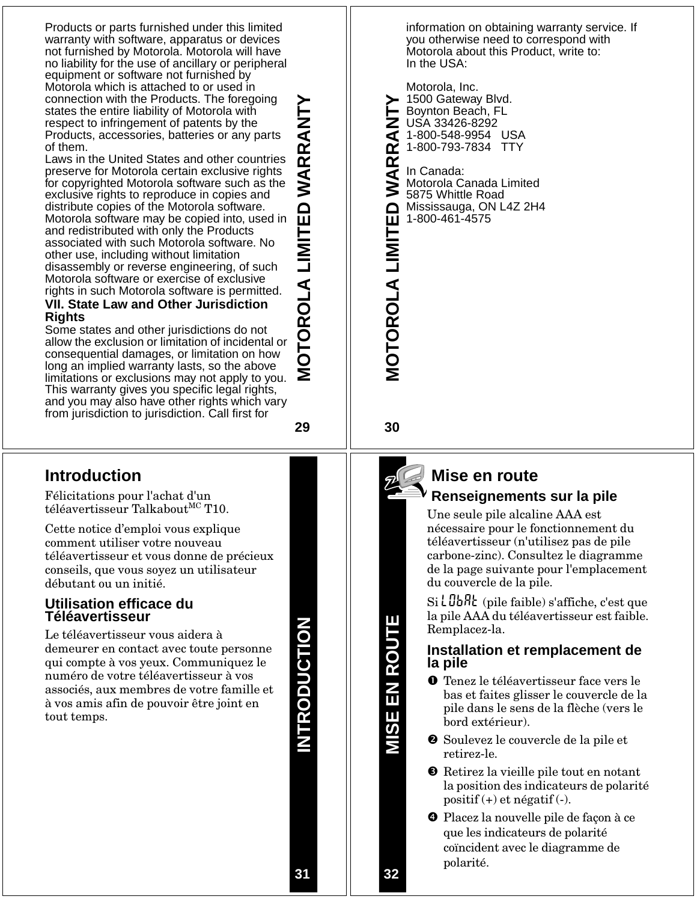Products or parts furnished under this limited warranty with software, apparatus or devices not furnished by Motorola. Motorola will have no liability for the use of ancillary or peripheral equipment or software not furnished by Motorola which is attached to or used in connection with the Products. The foregoing states the entire liability of Motorola with respect to infringement of patents by the Products, accessories, batteries or any parts of them.

Laws in the United States and other countries preserve for Motorola certain exclusive rights for copyrighted Motorola software such as the exclusive rights to reproduce in copies and distribute copies of the Motorola software. Motorola software may be copied into, used in and redistributed with only the Products associated with such Motorola software. No other use, including without limitation disassembly or reverse engineering, of such Motorola software or exercise of exclusive rights in such Motorola software is permitted. **VII. State Law and Other Jurisdiction** 

## **Rights**

Some states and other jurisdictions do not allow the exclusion or limitation of incidental or consequential damages, or limitation on how long an implied warranty lasts, so the above limitations or exclusions may not apply to you. This warranty gives you specific legal rights, and you may also have other rights which vary from jurisdiction to jurisdiction. Call first for

**29**

**MOTOROLA LIMITED WARRANTY**

OTOROLA LIMITED WARRANT

### **Introduction**

Félicitations pour l'achat d'un téléavertisseur Talkabout<sup>MC</sup> T10.

Cette notice d'emploi vous explique comment utiliser votre nouveau téléavertisseur et vous donne de précieux conseils, que vous soyez un utilisateur débutant ou un initié.

#### **Utilisation efficace du Téléavertisseur**

Le téléavertisseur vous aidera à demeurer en contact avec toute personne qui compte à vos yeux. Communiquez le numéro de votre téléavertisseur à vos associés, aux membres de votre famille et à vos amis afin de pouvoir être joint en tout temps.

**NTRODUCTION INTRODUCTION** information on obtaining warranty service. If you otherwise need to correspond with Motorola about this Product, write to: In the USA:

Motorola, Inc. 1500 Gateway Blvd. **MOTOROLA LIMITED WARRANTY** Boynton Beach, FL Z<br>T USA 33426-8292 1-800-548-9954 USA œ 1-800-793-7834 TTY **ARI** 

In Canada: Motorola Canada Limited ≶ 5875 Whittle Road **MOTOROLA LIMITED** Mississauga, ON L4Z 2H4 1-800-461-4575

**30**



### **Mise en route Renseignements sur la pile**

Une seule pile alcaline AAA est nécessaire pour le fonctionnement du téléavertisseur (n'utilisez pas de pile carbone-zinc). Consultez le diagramme de la page suivante pour l'emplacement du couvercle de la pile.

 $Si$   $L$   $J$  $b$  $h$  $c$  (pile faible) s'affiche, c'est que la pile AAA du téléavertisseur est faible. Remplacez-la.

#### **Installation et remplacement de la pile**

- Tenez le téléavertisseur face vers le bas et faites glisser le couvercle de la pile dans le sens de la flèche (vers le bord extérieur).
- Soulevez le couvercle de la pile et retirez-le.
- **8** Retirez la vieille pile tout en notant la position des indicateurs de polarité positif (+) et négatif (-).
- Placez la nouvelle pile de façon à ce que les indicateurs de polarité coïncident avec le diagramme de polarité.

**32**

**MISE EN ROUTE**

SIM

E EN ROUT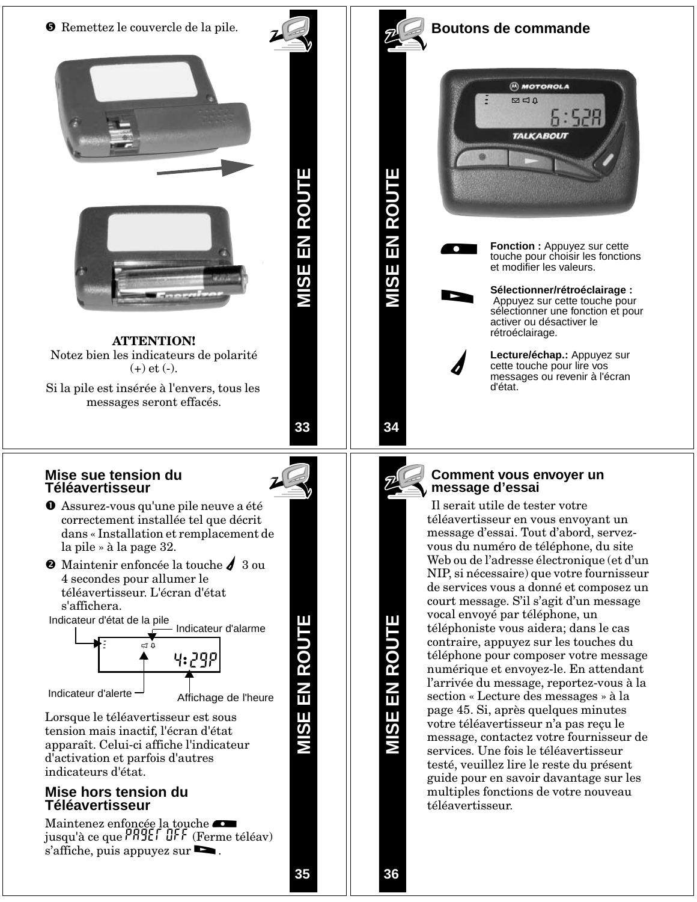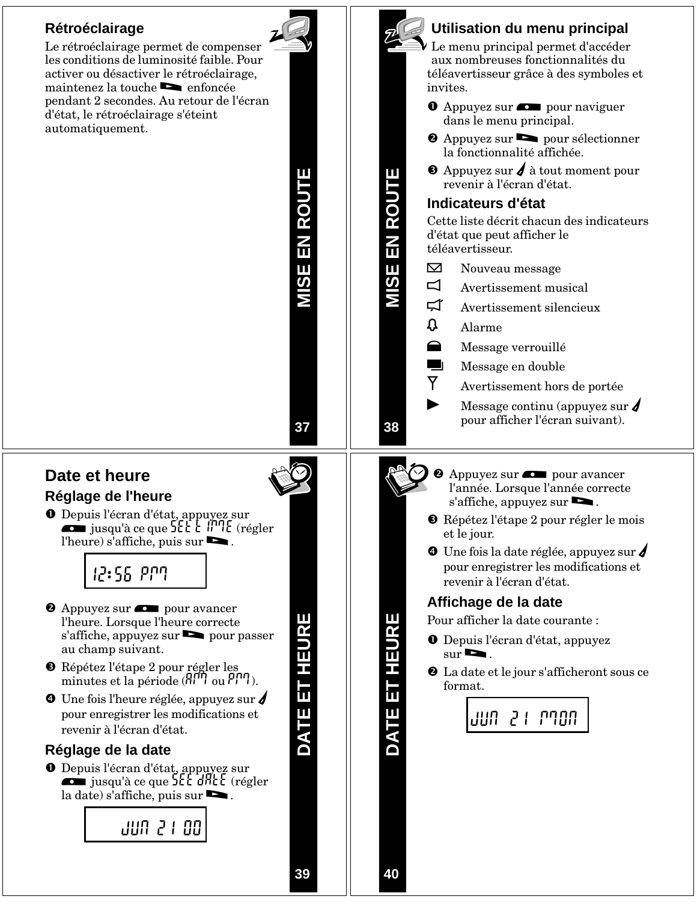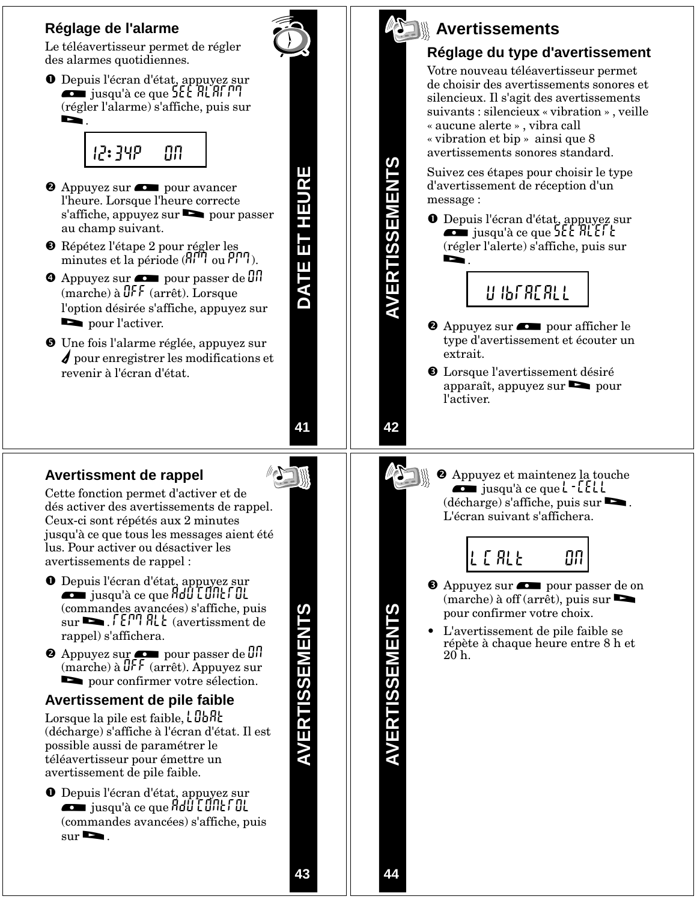### **Réglage de l'alarme**

Le téléavertisseur permet de régler des alarmes quotidiennes.

O Depuis l'écran d'état, appuyez sur<br>jusqu'à ce que SEE ALAFM  $(\mbox{régler l'alarme})$ s'affiche, puis sur



- <sup>2</sup> Appuyez sur  $\sim$  pour avancer l'heure. Lorsque l'heure correcte s'affiche, appuyez sur **s** pour passer au champ suivant.
- Répétez l'étape 2 pour régler les minutes et la période  $(H^{\text{III}})$  ou  $P^{\text{III}}$ ).
- $\bullet$  Appuyez sur  $\bullet$  pour passer de  $\theta$ (marche) à OFF (arrêt). Lorsque l'option désirée s'affiche, appuyez sur pour l'activer.
- Une fois l'alarme réglée, appuyez sur  $\boldsymbol{\ell}$  pour enregistrer les modifications et revenir à l'écran d'état.

**Avertissment de rappel**

Cette fonction permet d'activer et de dés activer des avertissements de rappel. Ceux-ci sont répétés aux 2 minutes jusqu'à ce que tous les messages aient été lus. Pour activer ou désactiver les avertissements de rappel :

- O Depuis l'écran d'état, appuyez sur<br>jusqu'à ce que Adu LUNE fuit (commandes avancées) s'affiche, puis  $\mathsf{sur} \blacktriangleright$ .  $\mathsf{FETI}\nparallel \mathsf{HLE}$  (avertissment de rappel) s'affichera.
- <sup>2</sup> Appuyez sur **D** pour passer de <sup>01</sup>  $(\text{marche})$  à  $\frac{d}{dt}$  (arrêt). Appuyez sur pour confirmer votre sélection.

### **Avertissement de pile faible**

Lorsque la pile est faible,  $LDBR$ (décharge) s'affiche à l'écran d'état. Il est possible aussi de paramétrer le téléavertisseur pour émettre un avertissement de pile faible.

**O** Depuis l'écran d'état, appuyez sur<br> $\overline{\phantom{a}}$  jusqu'à ce que  $\overline{\phantom{a}}$ (commandes avancées) s'affiche, puis  $\text{sur}$   $\blacksquare$ .

**AVERTISSEMENTS AVERTISSEMENTS** 

**DATE ET HEURE**

DATE ET HEURE

**41**



### **Avertissements**

### **Réglage du type d'avertissement**

Votre nouveau téléavertisseur permet de choisir des avertissements sonores et silencieux. Il s'agit des avertissements suivants : silencieux « vibration » , veille « aucune alerte » , vibra call « vibration et bip » ainsi que 8

avertissements sonores standard.

Suivez ces étapes pour choisir le type d'avertissement de réception d'un message :

O Depuis l'écran d'état, appuyez sur<br>iusqu'à ce que SEE ALEFL  $(r$ égler l'alerte) s'affiche, puis sur



- <sup>2</sup> Appuyez sur  $\sim$  pour afficher le type d'avertissement et écouter un extrait.
- Lorsque l'avertissement désiré apparaît, appuyez sur  $\bullet$  pour l'activer.

**42**

**AVERTISSEMENTS**

**2** Appuyez et maintenez la touche<br>
jusqu'à ce que  $L$  - [[[] (décharge) s'affiche, puis sur >. L'écran suivant s'affichera.

l c alt on

- <sup>8</sup> Appuyez sur **compound pour passer de on** (marche) à off (arrêt), puis sur > pour confirmer votre choix.
- L'avertissement de pile faible se répète à chaque heure entre 8 h et 20 h.

**AVERTISSEMENTS**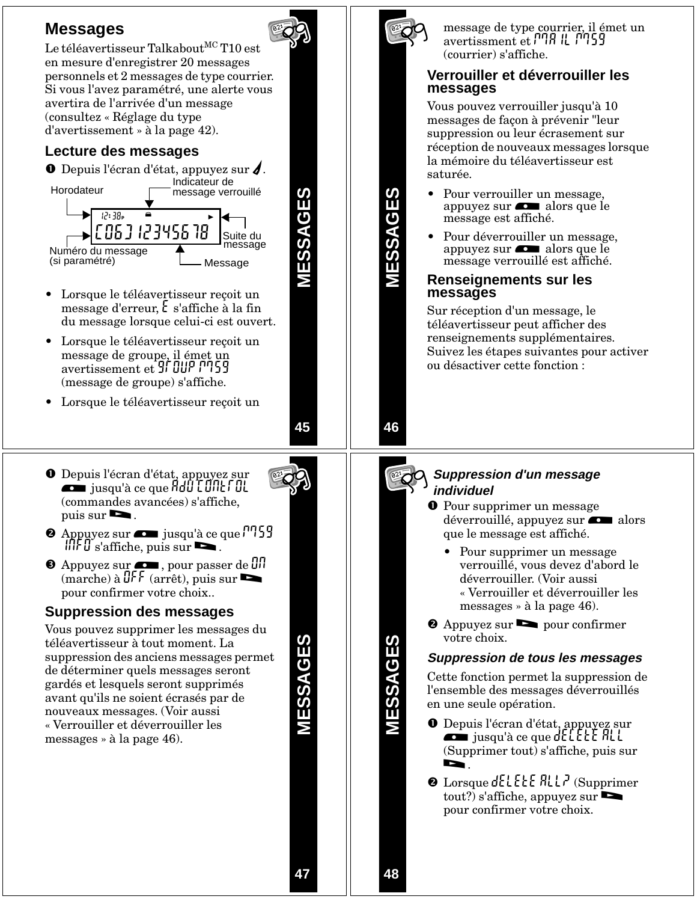



**MESSAGES**

message de type courrier, il émet un avertissment et PNA IL PN59 (courrier) s'affiche.

#### **Verrouiller et déverrouiller les messages**

Vous pouvez verrouiller jusqu'à 10 messages de façon à prévenir "leur suppression ou leur écrasement sur réception de nouveaux messages lorsque la mémoire du téléavertisseur est saturée.

- Pour verrouiller un message, appuyez sur **comparent alors** que le message est affiché.
- Pour déverrouiller un message, appuyez sur **complete** alors que le message verrouillé est affiché.

#### **Renseignements sur les messages**

Sur réception d'un message, le téléavertisseur peut afficher des renseignements supplémentaires. Suivez les étapes suivantes pour activer ou désactiver cette fonction :

**46**

#### **Suppression d'un message individuel**

- **O** Pour supprimer un message déverrouillé, appuyez sur **com** alors que le message est affiché.
	- Pour supprimer un message verrouillé, vous devez d'abord le déverrouiller. (Voir aussi « Verrouiller et déverrouiller les messages » à la page 46).
- Appuyez sur > pour confirmer votre choix.

#### **Suppression de tous les messages**

Cette fonction permet la suppression de l'ensemble des messages déverrouillés en une seule opération.

- O Depuis l'écran d'état, appuyez sur<br>jusqu'à ce que de l'ELE ALL (Supprimer tout) s'affiche, puis sur
- $\odot$  Lorsque dELELE ALLP (Supprimer  $\text{tout?}$ ) s'affiche, appuyez sur pour confirmer votre choix.



- puis sur  $\blacktriangleright$ .  $\bullet$  Appuyez sur  $\bullet$  jusqu'à ce que  $\cdot$  159  $\int \iint \iint u^s$  s'affiche, puis sur
- $\bullet$  Appuyez sur  $\bullet$ , pour passer de  $\mathfrak{g}_{\mathfrak{l}}$  $(\text{marche}) \land \text{QFF} (\text{arrêt}), \text{puis sur}$ pour confirmer votre choix..

### **Suppression des messages**

Vous pouvez supprimer les messages du téléavertisseur à tout moment. La suppression des anciens messages permet de déterminer quels messages seront gardés et lesquels seront supprimés avant qu'ils ne soient écrasés par de nouveaux messages. (Voir aussi « Verrouiller et déverrouiller les messages » à la page 46).

MESSAGES **MESSAGES**

**47**

**MESSAGES**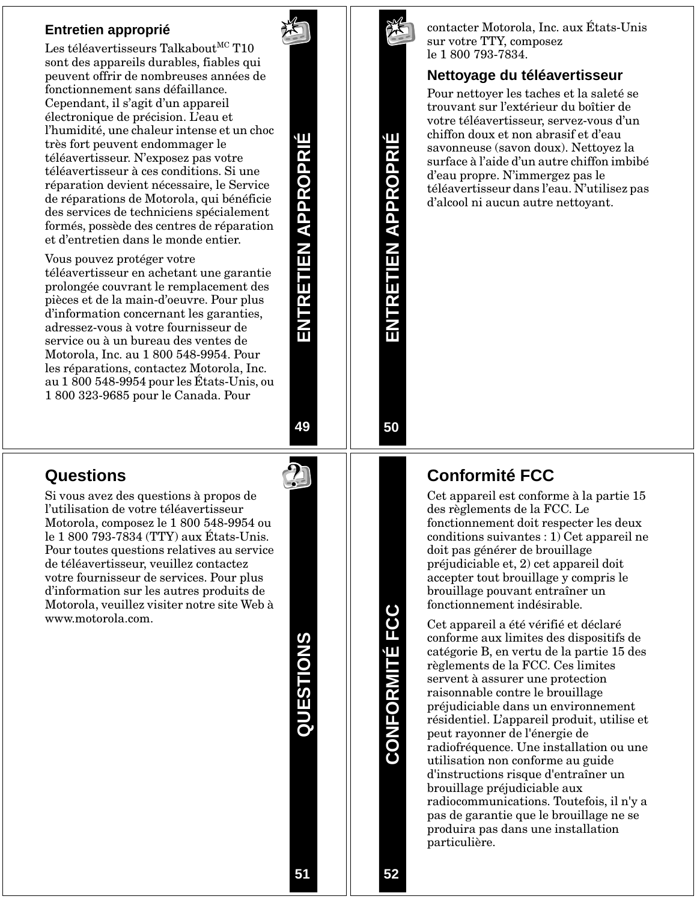#### **Entretien approprié**

Les téléavertisseurs Talkabout<sup>MC</sup> T10 sont des appareils durables, fiables qui peuvent offrir de nombreuses années de fonctionnement sans défaillance. Cependant, il s'agit d'un appareil électronique de précision. L'eau et l'humidité, une chaleur intense et un choc très fort peuvent endommager le téléavertisseur. N'exposez pas votre téléavertisseur à ces conditions. Si une réparation devient nécessaire, le Service de réparations de Motorola, qui bénéficie des services de techniciens spécialement formés, possède des centres de réparation et d'entretien dans le monde entier.

#### Vous pouvez protéger votre

téléavertisseur en achetant une garantie prolongée couvrant le remplacement des pièces et de la main-d'oeuvre. Pour plus d'information concernant les garanties, adressez-vous à votre fournisseur de service ou à un bureau des ventes de Motorola, Inc. au 1 800 548-9954. Pour les réparations, contactez Motorola, Inc. au 1 800 548-9954 pour les États-Unis, ou 1 800 323-9685 pour le Canada. Pour

**49**

**ENTRETIEN APPROPRIÉ**

ENTRETIEN APPROPRI

Щ

### **Questions**

Si vous avez des questions à propos de l'utilisation de votre téléavertisseur Motorola, composez le 1 800 548-9954 ou le 1 800 793-7834 (TTY) aux États-Unis. Pour toutes questions relatives au service de téléavertisseur, veuillez contactez votre fournisseur de services. Pour plus d'information sur les autres produits de Motorola, veuillez visiter notre site Web à www.motorola.com.

QUESTIONS **QUESTIONS**



**ENTRETIEN APPROPRIÉ**

**RETIEN APPROPRI** 

**50**

contacter Motorola, Inc. aux États-Unis sur votre TTY, composez le 1 800 793-7834.

#### **Nettoyage du téléavertisseur**

Pour nettoyer les taches et la saleté se trouvant sur l'extérieur du boîtier de votre téléavertisseur, servez-vous d'un chiffon doux et non abrasif et d'eau savonneuse (savon doux). Nettoyez la surface à l'aide d'un autre chiffon imbibé d'eau propre. N'immergez pas le téléavertisseur dans l'eau. N'utilisez pas d'alcool ni aucun autre nettoyant.

### **Conformité FCC**

Cet appareil est conforme à la partie 15 des règlements de la FCC. Le fonctionnement doit respecter les deux conditions suivantes : 1) Cet appareil ne doit pas générer de brouillage préjudiciable et, 2) cet appareil doit accepter tout brouillage y compris le brouillage pouvant entraîner un fonctionnement indésirable.

Cet appareil a été vérifié et déclaré conforme aux limites des dispositifs de catégorie B, en vertu de la partie 15 des règlements de la FCC. Ces limites servent à assurer une protection raisonnable contre le brouillage préjudiciable dans un environnement résidentiel. L'appareil produit, utilise et peut rayonner de l'énergie de radiofréquence. Une installation ou une utilisation non conforme au guide d'instructions risque d'entraîner un brouillage préjudiciable aux radiocommunications. Toutefois, il n'y a pas de garantie que le brouillage ne se produira pas dans une installation particulière.

**CONFORMITÉ FCC**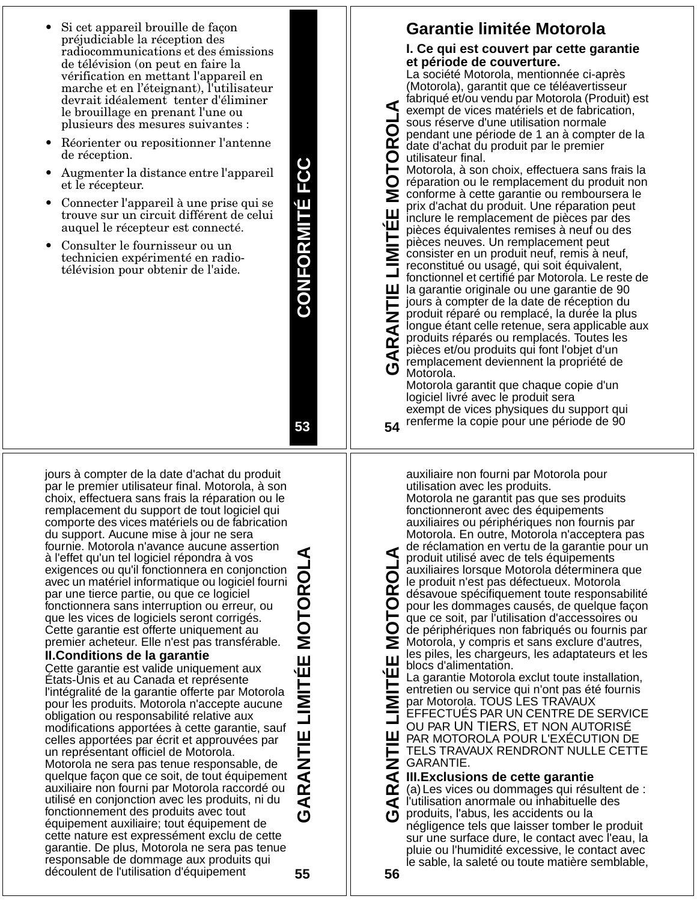- Si cet appareil brouille de façon préjudiciable la réception des radiocommunications et des émissions de télévision (on peut en faire la vérification en mettant l'appareil en marche et en l'éteignant), l'utilisateur devrait idéalement tenter d'éliminer le brouillage en prenant l'une ou plusieurs des mesures suivantes :
- Réorienter ou repositionner l'antenne de réception.
- Augmenter la distance entre l'appareil et le récepteur.
- Connecter l'appareil à une prise qui se trouve sur un circuit différent de celui auquel le récepteur est connecté.
- Consulter le fournisseur ou un technicien expérimenté en radiotélévision pour obtenir de l'aide.

**CONFORMITÉ FCC CONFORMITÉ FCC**

**53**

**54**

Œ

jours à compter de la date d'achat du produit par le premier utilisateur final. Motorola, à son choix, effectuera sans frais la réparation ou le remplacement du support de tout logiciel qui comporte des vices matériels ou de fabrication du support. Aucune mise à jour ne sera fournie. Motorola n'avance aucune assertion à l'effet qu'un tel logiciel répondra à vos exigences ou qu'il fonctionnera en conjonction avec un matériel informatique ou logiciel fourni par une tierce partie, ou que ce logiciel fonctionnera sans interruption ou erreur, ou que les vices de logiciels seront corrigés. Cette garantie est offerte uniquement au premier acheteur. Elle n'est pas transférable.

#### **II.Conditions de la garantie**

Cette garantie est valide uniquement aux États-Unis et au Canada et représente l'intégralité de la garantie offerte par Motorola pour les produits. Motorola n'accepte aucune obligation ou responsabilité relative aux modifications apportées à cette garantie, sauf celles apportées par écrit et approuvées par un représentant officiel de Motorola. Motorola ne sera pas tenue responsable, de quelque façon que ce soit, de tout équipement auxiliaire non fourni par Motorola raccordé ou utilisé en conjonction avec les produits, ni du fonctionnement des produits avec tout équipement auxiliaire; tout équipement de cette nature est expressément exclu de cette garantie. De plus, Motorola ne sera pas tenue responsable de dommage aux produits qui découlent de l'utilisation d'équipement

**GARANTIE LIMITÉE MOTOROLA** Ш 冚 **ANTIE** ⋖

**55**

### **Garantie limitée Motorola**

#### **I. Ce qui est couvert par cette garantie et période de couverture.**

La société Motorola, mentionnée ci-après (Motorola), garantit que ce téléavertisseur fabriqué et/ou vendu par Motorola (Produit) est exempt de vices matériels et de fabrication, sous réserve d'une utilisation normale pendant une période de 1 an à compter de la date d'achat du produit par le premier

**GARANTIE LIMITÉE MOTOROLA** O. utilisateur final. Motorola, à son choix, effectuera sans frais la réparation ou le remplacement du produit non Σ conforme à cette garantie ou remboursera le prix d'achat du produit. Une réparation peut Ш inclure le remplacement de pièces par des É pièces équivalentes remises à neuf ou des pièces neuves. Un remplacement peut consister en un produit neuf, remis à neuf, reconstitué ou usagé, qui soit équivalent, fonctionnel et certifié par Motorola. Le reste de ш la garantie originale ou une garantie de 90 **TNNT** jours à compter de la date de réception du produit réparé ou remplacé, la durée la plus longue étant celle retenue, sera applicable aux produits réparés ou remplacés. Toutes les  $\vec{\mathbf{r}}$ pièces et/ou produits qui font l'objet d'un ⋖ remplacement deviennent la propriété de Motorola.

Motorola garantit que chaque copie d'un logiciel livré avec le produit sera exempt de vices physiques du support qui renferme la copie pour une période de 90

auxiliaire non fourni par Motorola pour utilisation avec les produits. Motorola ne garantit pas que ses produits fonctionneront avec des équipements auxiliaires ou périphériques non fournis par Motorola. En outre, Motorola n'acceptera pas de réclamation en vertu de la garantie pour un

produit utilisé avec de tels équipements auxiliaires lorsque Motorola déterminera que TORO le produit n'est pas défectueux. Motorola désavoue spécifiquement toute responsabilité pour les dommages causés, de quelque façon que ce soit, par l'utilisation d'accessoires ou  $\overline{O}$ de périphériques non fabriqués ou fournis par Ž Motorola, y compris et sans exclure d'autres, les piles, les chargeurs, les adaptateurs et les Ш blocs d'alimentation.

**GARANTIE LIMITÉE MOTOROLA** Щ La garantie Motorola exclut toute installation, entretien ou service qui n'ont pas été fournis par Motorola. TOUS LES TRAVAUX EFFECTUÉS PAR UN CENTRE DE SERVICE OU PAR UN TIERS, ET NON AUTORISÉ ш PAR MOTOROLA POUR L'EXÉCUTION DE TELS TRAVAUX RENDRONT NULLE CETTE GARANTIE. Z

**III.Exclusions de cette garantie**

œ (a)Les vices ou dommages qui résultent de : l'utilisation anormale ou inhabituelle des ⋖ produits, l'abus, les accidents ou la

négligence tels que laisser tomber le produit sur une surface dure, le contact avec l'eau, la pluie ou l'humidité excessive, le contact avec le sable, la saleté ou toute matière semblable,

**56**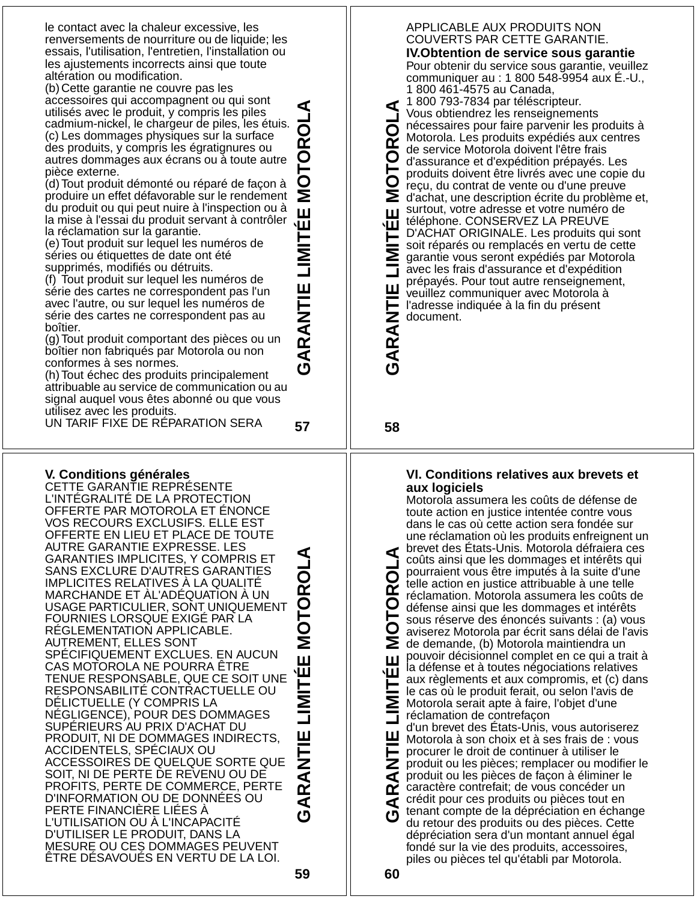le contact avec la chaleur excessive, les renversements de nourriture ou de liquide; les essais, l'utilisation, l'entretien, l'installation ou les ajustements incorrects ainsi que toute altération ou modification.

**GARANTIE LIMITÉE MOTOROLA** (b) Cette garantie ne couvre pas les accessoires qui accompagnent ou qui sont utilisés avec le produit, y compris les piles cadmium-nickel, le chargeur de piles, les étuis. (c) Les dommages physiques sur la surface des produits, y compris les égratignures ou autres dommages aux écrans ou à toute autre pièce externe.

(d) Tout produit démonté ou réparé de façon à produire un effet défavorable sur le rendement du produit ou qui peut nuire à l'inspection ou à la mise à l'essai du produit servant à contrôler la réclamation sur la garantie.

(e) Tout produit sur lequel les numéros de séries ou étiquettes de date ont été supprimés, modifiés ou détruits.

(f) Tout produit sur lequel les numéros de série des cartes ne correspondent pas l'un avec l'autre, ou sur lequel les numéros de série des cartes ne correspondent pas au boîtier.

(g) Tout produit comportant des pièces ou un boîtier non fabriqués par Motorola ou non conformes à ses normes.

(h) Tout échec des produits principalement attribuable au service de communication ou au signal auquel vous êtes abonné ou que vous utilisez avec les produits.

UN TARIF FIXE DE RÉPARATION SERA

#### **V. Conditions générales**

CETTE GARANTIE REPRÉSENTE L'INTÉGRALITÉ DE LA PROTECTION OFFERTE PAR MOTOROLA ET ÉNONCE VOS RECOURS EXCLUSIFS. ELLE EST OFFERTE EN LIEU ET PLACE DE TOUTE AUTRE GARANTIE EXPRESSE. LES GARANTIES IMPLICITES, Y COMPRIS ET SANS EXCLURE D'AUTRES GARANTIES IMPLICITES RELATIVES À LA QUALITÉ MARCHANDE ET ÀL'ADÉQUATION À UN USAGE PARTICULIER, SONT UNIQUEMENT FOURNIES LORSQUE EXIGÉ PAR LA RÉGLEMENTATION APPLICABLE. AUTREMENT, ELLES SONT SPÉCIFIQUEMENT EXCLUES. EN AUCUN CAS MOTOROLA NE POURRA ÊTRE TENUE RESPONSABLE, QUE CE SOIT UNE RESPONSABILITÉ CONTRACTUELLE OU DÉLICTUELLE (Y COMPRIS LA NÉGLIGENCE), POUR DES DOMMAGES SUPÉRIEURS AU PRIX D'ACHAT DU PRODUIT, NI DE DOMMAGES INDIRECTS, ACCIDENTELS, SPÉCIAUX OU ACCESSOIRES DE QUELQUE SORTE QUE SOIT, NI DE PERTE DE REVENU OU DE PROFITS, PERTE DE COMMERCE, PERTE D'INFORMATION OU DE DONNÉES OU PERTE FINANCIÈRE LIÉES À L'UTILISATION OU À L'INCAPACITÉ D'UTILISER LE PRODUIT, DANS LA MESURE OU CES DOMMAGES PEUVENT ÊTRE DÉSAVOUÉS EN VERTU DE LA LOI.

**GARANTIE LIMITÉE MOTOROLA** ÉE MOTORO GARAN

**57**

Щ

#### APPLICABLE AUX PRODUITS NON COUVERTS PAR CETTE GARANTIE.

**IV.Obtention de service sous garantie** Pour obtenir du service sous garantie, veuillez communiquer au : 1 800 548-9954 aux É.-U., 1 800 461-4575 au Canada,

1 800 793-7834 par téléscripteur. **GARANTIE LIMITÉE MOTOROLA** ⋖ Vous obtiendrez les renseignements ō nécessaires pour faire parvenir les produits à Motorola. Les produits expédiés aux centres œ de service Motorola doivent l'être frais O d'assurance et d'expédition prépayés. Les produits doivent être livrés avec une copie du O reçu, du contrat de vente ou d'une preuve Σ d'achat, une description écrite du problème et, surtout, votre adresse et votre numéro de Ш téléphone. CONSERVEZ LA PREUVE É D'ACHAT ORIGINALE. Les produits qui sont soit réparés ou remplacés en vertu de cette garantie vous seront expédiés par Motorola avec les frais d'assurance et d'expédition prépayés. Pour tout autre renseignement, Ш veuillez communiquer avec Motorola à GARANTI l'adresse indiquée à la fin du présent document.

**58**

#### **VI. Conditions relatives aux brevets et aux logiciels**

Motorola assumera les coûts de défense de toute action en justice intentée contre vous dans le cas où cette action sera fondée sur une réclamation où les produits enfreignent un brevet des États-Unis. Motorola défraiera ces ⊄ **GARANTIE LIMITÉE MOTOROLA** coûts ainsi que les dommages et intérêts qui pourraient vous être imputés à la suite d'une telle action en justice attribuable à une telle œ réclamation. Motorola assumera les coûts de O défense ainsi que les dommages et intérêts sous réserve des énoncés suivants : (a) vous  $\mathbf O$ aviserez Motorola par écrit sans délai de l'avis Σ de demande, (b) Motorola maintiendra un pouvoir décisionnel complet en ce qui a trait à Ш la défense et à toutes négociations relatives 一 aux règlements et aux compromis, et (c) dans le cas où le produit ferait, ou selon l'avis de Σ Motorola serait apte à faire, l'objet d'une réclamation de contrefaçon d'un brevet des États-Unis, vous autoriserez ш Motorola à son choix et à ses frais de : vous procurer le droit de continuer à utiliser le Z

produit ou les pièces; remplacer ou modifier le ⋖ produit ou les pièces de façon à éliminer le caractère contrefait; de vous concéder un œ crédit pour ces produits ou pièces tout en ⋖ tenant compte de la dépréciation en échange du retour des produits ou des pièces. Cette dépréciation sera d'un montant annuel égal fondé sur la vie des produits, accessoires, piles ou pièces tel qu'établi par Motorola.

**60**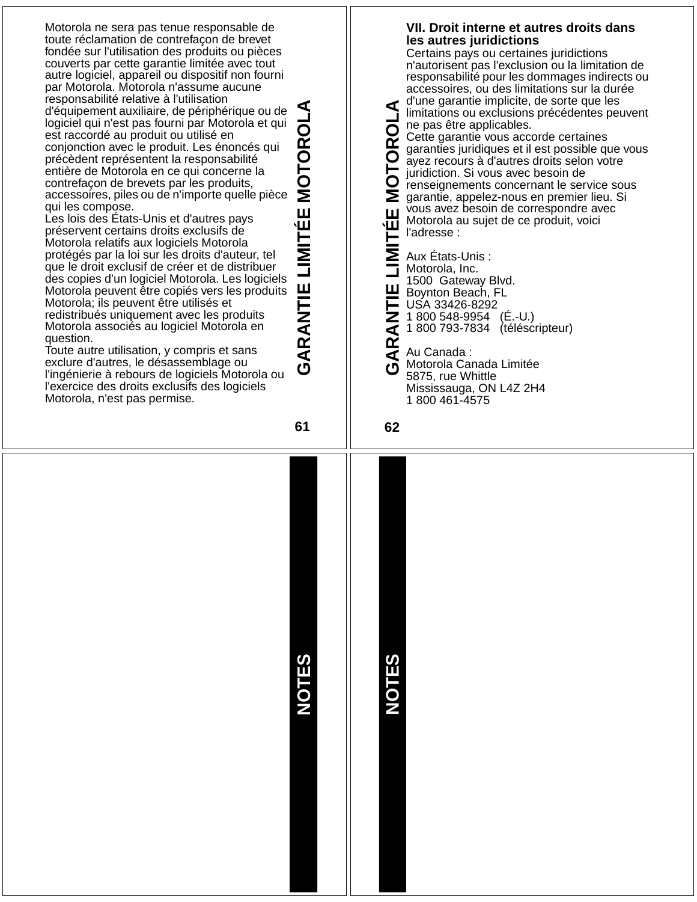| par Motorola. Motorola n'assume aucune<br>responsabilité relative à l'utilisation<br>d'équipement auxiliaire, de périphérique ou de<br>logiciel qui n'est pas fourni par Motorola et qui<br>est raccordé au produit ou utilisé en<br>conjonction avec le produit. Les énoncés qui<br>précèdent représentent la responsabilité<br>entière de Motorola en ce qui concerne la<br>contrefaçon de brevets par les produits,<br>accessoires, piles ou de n'importe quelle pièce<br>qui les compose.<br>Les lois des États-Unis et d'autres pays<br>préservent certains droits exclusifs de<br>Motorola relatifs aux logiciels Motorola<br>protégés par la loi sur les droits d'auteur, tel<br>que le droit exclusif de créer et de distribuer<br>des copies d'un logiciel Motorola. Les logiciels<br>Motorola peuvent être copiés vers les produits<br>Motorola; ils peuvent être utilisés et<br>redistribués uniquement avec les produits<br>Motorola associés au logiciel Motorola en<br>question.<br>Toute autre utilisation, y compris et sans<br>exclure d'autres, le désassemblage ou<br>l'ingénierie à rebours de logiciels Motorola ou<br>l'exercice des droits exclusifs des logiciels<br>Motorola, n'est pas permise. | MOTOROLA<br>LIMITÉE<br>GARANTIE<br>61 | accessoires, ou des limitations sur la durée<br>d'une garantie implicite, de sorte que les<br>⋖<br>limitations ou exclusions précédentes peuvent<br>ne pas être applicables.<br>O<br>Cette garantie vous accorde certaines<br>$\overline{\mathbf{C}}$<br>garanties juridiques et il est possible que vous<br>O<br>ayez recours à d'autres droits selon votre<br>는<br>juridiction. Si vous avec besoin de<br>O<br>renseignements concernant le service sous<br>Si garantie, appelez-nous en premier lieu. Si<br>vous avez besoin de correspondre avec<br>Ш<br>Motorola au sujet de ce produit, voici<br>出<br>l'adresse :<br>Aux États-Unis :<br>Motorola, Inc.<br>1500 Gateway Blvd.<br>Boynton Beach, F<br>USA 33426-8292<br>Boynton Beach, FL<br>$\mathbb Z$ 1 800 548-9954 (É.-U.)<br>1 800 793-7834 (téléscripteur)<br>⋖<br><b>AR</b><br>Au Canada:<br>Motorola Canada Limitée<br>O<br>5875, rue Whittle<br>Mississauga, ON L4Z 2H4<br>1 800 461-4575<br>62 |
|---------------------------------------------------------------------------------------------------------------------------------------------------------------------------------------------------------------------------------------------------------------------------------------------------------------------------------------------------------------------------------------------------------------------------------------------------------------------------------------------------------------------------------------------------------------------------------------------------------------------------------------------------------------------------------------------------------------------------------------------------------------------------------------------------------------------------------------------------------------------------------------------------------------------------------------------------------------------------------------------------------------------------------------------------------------------------------------------------------------------------------------------------------------------------------------------------------------------------|---------------------------------------|----------------------------------------------------------------------------------------------------------------------------------------------------------------------------------------------------------------------------------------------------------------------------------------------------------------------------------------------------------------------------------------------------------------------------------------------------------------------------------------------------------------------------------------------------------------------------------------------------------------------------------------------------------------------------------------------------------------------------------------------------------------------------------------------------------------------------------------------------------------------------------------------------------------------------------------------------------------|
|                                                                                                                                                                                                                                                                                                                                                                                                                                                                                                                                                                                                                                                                                                                                                                                                                                                                                                                                                                                                                                                                                                                                                                                                                           | <b>NOTES</b>                          | <b>NOTES</b>                                                                                                                                                                                                                                                                                                                                                                                                                                                                                                                                                                                                                                                                                                                                                                                                                                                                                                                                                   |